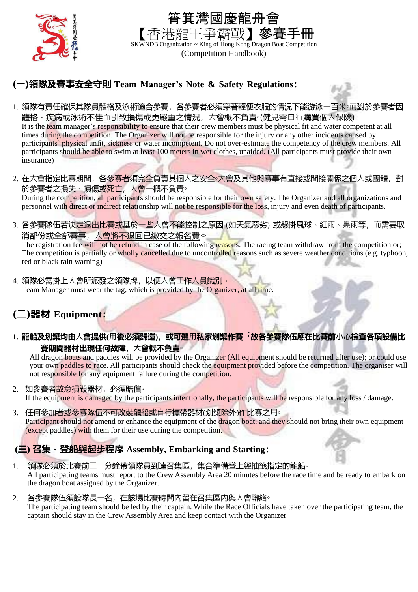

## 筲箕灣國慶龍舟會 三爭霸戰】參賽手冊 SKWNDB Organization ~ King of Hong Kong Dragon Boat Competition (Competition Handbook)

## **(⼀)領隊及賽事安全守則 Team Manager's Note & Safety Regulations:**

- 1. 領隊有責任確保其隊員體格及泳術適合參賽, 各參賽者必須穿著輕便衣服的情況下能游泳ㄧ百米◦而對於參賽者因 體格、疾病或泳術不佳而引致損傷或更嚴重之情況, 大會概不負責∘(健兒需自行購買個人保險) It is the team manager's responsibility to ensure that their crew members must be physical fit and water competent at all times during the competition. The Organizer will not be responsible for the injury or any other incidents caused by participants' physical unfit, sickness or water incompetent. Do not over-estimate the competency of the crew members. All participants should be able to swim at least 100 meters in wet clothes, unaided. (All participants must provide their own insurance)
- 2. 在大會指定比賽期間,各參賽者須完全負責其個人之安全◦大會及其他與賽事有直接或間接關係之個人或團體,對 於參賽者之損失、損傷或死亡, 大會一概不負責。 During the competition, all participants should be responsible for their own safety. The Organizer and all organizations and personnel with direct or indirect relationship will not be responsible for the loss, injury and even death of participants.
- 3. 各參賽隊伍若決定退出比賽或基於一些大會不能控制之原因 (如天氣惡劣) 或懸掛風球、紅雨、黑雨等, 而需要取 消部份或全部賽事,大會將不退回已繳交之報名費。

The registration fee will not be refund in case of the following reasons: The racing team withdraw from the competition or; The competition is partially or wholly cancelled due to uncontrolled reasons such as severe weather conditions (e.g. typhoon, red or black rain warning)

4. 領隊必需掛上大會所派發之領隊牌, 以便大會工作人員識別。 Team Manager must wear the tag, which is provided by the Organizer, at all time.

# **(⼆)器材 Equipment:**

1. 龍船及划槳均由大會提供(用後必須歸還), 或可選用私家划槳作賽﹐故各參賽隊伍應在比賽前小心檢查各項設備比 **賽期間器材出現任何故障,大會概不負責。** 

All dragon boats and paddles will be provided by the Organizer (All equipment should be returned after use); or could use your own paddles to race. All participants should check the equipment provided before the competition. The organiser will not responsible for any equipment failure during the competition.

2. 如參賽者故意損毀器材,必須賠償。

If the equipment is damaged by the participants intentionally, the participants will be responsible for any loss / damage.

3. 任何參加者或參賽隊伍不可改裝龍船或自行攜帶器材(划獎除外)作比賽之用。 Participant should not amend or enhance the equipment of the dragon boat, and they should not bring their own equipment (except paddles) with them for their use during the competition.

# **(三) 召集**、**登船與起步程序 Assembly, Embarking and Starting:**

- 1. 領隊必須於比賽前二十分鐘帶領隊員到達召集區,集合準備登上經抽籤指定的龍船。 All participating teams must report to the Crew Assembly Area 20 minutes before the race time and be ready to embark on the dragon boat assigned by the Organizer.
- 2. 各參賽隊伍須設隊長一名, 在該場比賽時間内留在召集區内與大會聯絡<sup>。</sup> The participating team should be led by their captain. While the Race Officials have taken over the participating team, the captain should stay in the Crew Assembly Area and keep contact with the Organizer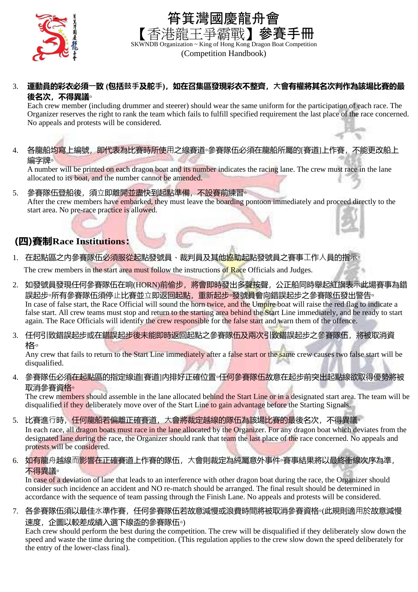



(Competition Handbook)

#### 3. 運動員的彩衣必須一致 (包括鼓手及舵手), 如在召集區發現彩衣不整齊, 大會有權將其名次判作為該場比賽的最 **後名次,不得異議◦**

Each crew member (including drummer and steerer) should wear the same uniform for the participation of each race. The Organizer reserves the right to rank the team which fails to fulfill specified requirement the last place of the race concerned. No appeals and protests will be considered.

4. 各龍船均寫上編號,即代表為比賽時所使用之線賽道◦參賽隊伍必須在龍船所屬的[賽道]上作賽,不能更改船上 編字牌◦

A number will be printed on each dragon boat and its number indicates the racing lane. The crew must race in the lane allocated to its boat, and the number cannot be amended.

5. 參賽隊伍登船後, 須立即離開並盡快到起點準備, 不設賽前練習<sup>。</sup> After the crew members have embarked, they must leave the boarding pontoon immediately and proceed directly to the start area. No pre-race practice is allowed.

### **(四)賽制Race Institutions:**

### 1. 在起點區之内參賽隊伍必須服從起點發號員、裁判員及其他協助起點發號員之賽事工作人員的指示

The crew members in the start area must follow the instructions of Race Officials and Judges.

- 2. 如發號員發現任何參賽隊伍在响(HORN)前偷步,將會即時發出多聲按聲,公正船同時舉起紅旗表示此場賽事為錯 誤起步。所有參賽隊伍須停止比賽並立即返回起點,重新起步。發號員會向錯誤起步之參賽隊伍發出警告。 In case of false start, the Race Official will sound the horn twice, and the Umpire boat will raise the red flag to indicate a false start. All crew teams must stop and return to the starting area behind the Start Line immediately, and be ready to start again. The Race Officials will identify the crew responsible for the false start and warn them of the offence.
- 3. 任何引致錯誤起步或在錯誤起步後未能即時返回起點之參賽隊伍及兩次引致錯誤起步之參賽隊伍,將被取消資 格◦

Any crew that fails to return to the Start Line immediately after a false start or the same crew causes two false start will be disqualified.

4. 參賽隊伍必須在起點區的指定線道[賽道]内排好正確位置◦任何參賽隊伍故意在起步前突出起點線欲取得優勢將被 取消參賽資格◦

The crew members should assemble in the lane allocated behind the Start Line or in a designated start area. The team will be disqualified if they deliberately move over of the Start Line to gain advantage before the Starting Signals.

- 5. 比賽進行時, 任何龍船若偏離正確賽道, 大會將裁定越線的隊伍為該場比賽的最後名次, 不得異議<sup>。</sup> In each race, all dragon boats must race in the lane allocated by the Organizer. For any dragon boat which deviates from the designated lane during the race, the Organizer should rank that team the last place of the race concerned. No appeals and protests will be considered.
- 6. 如有龍舟越線而影響在正確賽道上作賽的隊伍,大會則裁定為純屬意外事件◦賽事結果將以最終衝線次序為準, 不得異議。

In case of a deviation of lane that leads to an interference with other dragon boat during the race, the Organizer should consider such incidence an accident and NO re-match should be arranged. The final result should be determined in accordance with the sequence of team passing through the Finish Lane. No appeals and protests will be considered.

7. 各參賽隊伍須以最佳水準作賽,任何參賽隊伍若故意減慢或浪費時間將被取消參賽資格◦(此規則適用於故意減慢 速度,企圖以較差成績入選下線盃的參賽隊伍◦)

Each crew should perform the best during the competition. The crew will be disqualified if they deliberately slow down the speed and waste the time during the competition. (This regulation applies to the crew slow down the speed deliberately for the entry of the lower-class final).